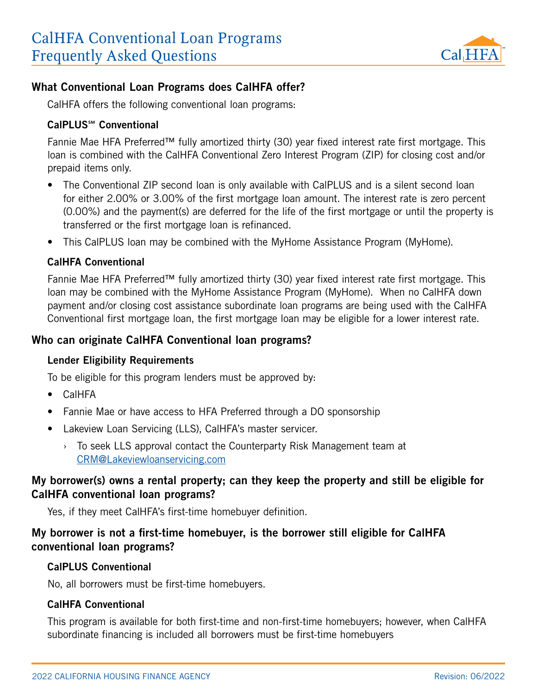

#### What Conventional Loan Programs does CalHFA offer?

CalHFA offers the following conventional loan programs:

#### CalPLUS℠ Conventional

Fannie Mae HFA Preferred™ fully amortized thirty (30) year fixed interest rate first mortgage. This loan is combined with the CalHFA Conventional Zero Interest Program (ZIP) for closing cost and/or prepaid items only.

- The Conventional ZIP second loan is only available with CalPLUS and is a silent second loan for either 2.00% or 3.00% of the first mortgage loan amount. The interest rate is zero percent (0.00%) and the payment(s) are deferred for the life of the first mortgage or until the property is transferred or the first mortgage loan is refinanced.
- This CalPLUS loan may be combined with the MyHome Assistance Program (MyHome).

#### CalHFA Conventional

Fannie Mae HFA Preferred™ fully amortized thirty (30) year fixed interest rate first mortgage. This loan may be combined with the MyHome Assistance Program (MyHome). When no CalHFA down payment and/or closing cost assistance subordinate loan programs are being used with the CalHFA Conventional first mortgage loan, the first mortgage loan may be eligible for a lower interest rate.

#### Who can originate CalHFA Conventional loan programs?

#### Lender Eligibility Requirements

To be eligible for this program lenders must be approved by:

- CalHFA
- Fannie Mae or have access to HFA Preferred through a DO sponsorship
- Lakeview Loan Servicing (LLS), CalHFA's master servicer.
	- › To seek LLS approval contact the Counterparty Risk Management team at [CRM@Lakeviewloanservicing.com](mailto:CRM%40Lakeviewloanservicing.com?subject=)

## My borrower(s) owns a rental property; can they keep the property and still be eligible for CalHFA conventional loan programs?

Yes, if they meet CalHFA's first-time homebuyer definition.

## My borrower is not a first-time homebuyer, is the borrower still eligible for CalHFA conventional loan programs?

#### CalPLUS Conventional

No, all borrowers must be first-time homebuyers.

#### CalHFA Conventional

This program is available for both first-time and non-first-time homebuyers; however, when CalHFA subordinate financing is included all borrowers must be first-time homebuyers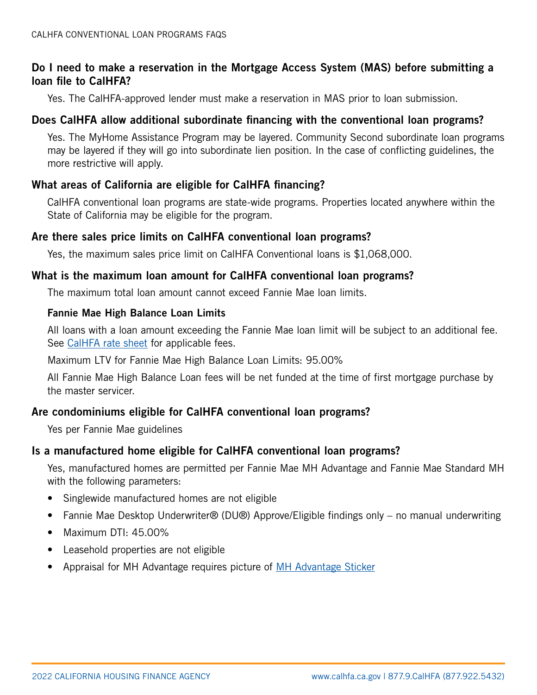## Do I need to make a reservation in the Mortgage Access System (MAS) before submitting a loan file to CalHFA?

Yes. The CalHFA-approved lender must make a reservation in MAS prior to loan submission.

## Does CalHFA allow additional subordinate financing with the conventional loan programs?

Yes. The MyHome Assistance Program may be layered. Community Second subordinate loan programs may be layered if they will go into subordinate lien position. In the case of conflicting guidelines, the more restrictive will apply.

## What areas of California are eligible for CalHFA financing?

CalHFA conventional loan programs are state-wide programs. Properties located anywhere within the State of California may be eligible for the program.

#### Are there sales price limits on CalHFA conventional loan programs?

Yes, the maximum sales price limit on CalHFA Conventional loans is \$1,068,000.

#### What is the maximum loan amount for CalHFA conventional loan programs?

The maximum total loan amount cannot exceed Fannie Mae loan limits.

#### Fannie Mae High Balance Loan Limits

All loans with a loan amount exceeding the Fannie Mae loan limit will be subject to an additional fee. See [CalHFA rate sheet](http://www.calhfa.ca.gov/apps/rates/) for applicable fees.

Maximum LTV for Fannie Mae High Balance Loan Limits: 95.00%

All Fannie Mae High Balance Loan fees will be net funded at the time of first mortgage purchase by the master servicer.

# Are condominiums eligible for CalHFA conventional loan programs?

Yes per Fannie Mae guidelines

#### Is a manufactured home eligible for CalHFA conventional loan programs?

Yes, manufactured homes are permitted per Fannie Mae MH Advantage and Fannie Mae Standard MH with the following parameters:

- Singlewide manufactured homes are not eligible
- Fannie Mae Desktop Underwriter® (DU®) Approve/Eligible findings only no manual underwriting
- Maximum DTI: 45.00%
- Leasehold properties are not eligible
- Appraisal for MH Advantage requires picture of [MH Advantage Sticker](https://www.fanniemae.com/content/fact_sheet/mh-advantage-appraisal-requirements.pdf)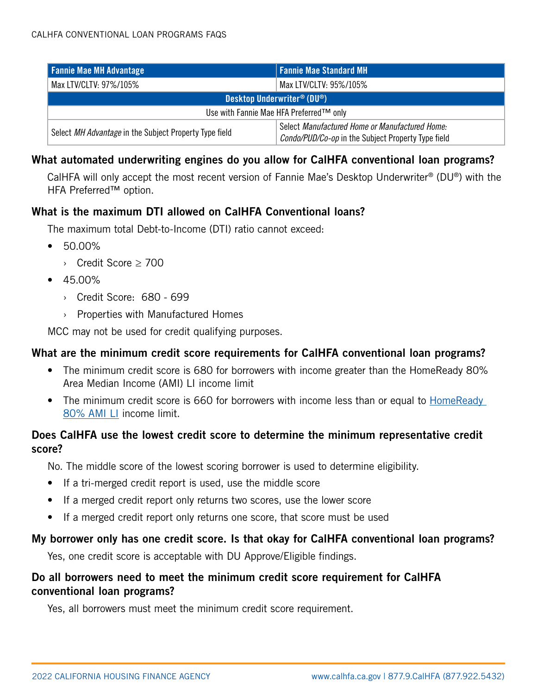| <b>Fannie Mae MH Advantage</b>                         | <b>Fannie Mae Standard MH</b>                                                                        |
|--------------------------------------------------------|------------------------------------------------------------------------------------------------------|
| Max LTV/CLTV: 97%/105%                                 | Max I TV/CI TV: 95%/105%                                                                             |
| Desktop Underwriter <sup>®</sup> (DU <sup>®</sup> )    |                                                                                                      |
| Use with Fannie Mae HFA Preferred™ only                |                                                                                                      |
| Select MH Advantage in the Subject Property Type field | Select Manufactured Home or Manufactured Home:<br>Condo/PUD/Co-op in the Subject Property Type field |

## What automated underwriting engines do you allow for CalHFA conventional loan programs?

CalHFA will only accept the most recent version of Fannie Mae's Desktop Underwriter® (DU®) with the HFA Preferred™ option.

## What is the maximum DTI allowed on CalHFA Conventional loans?

The maximum total Debt-to-Income (DTI) ratio cannot exceed:

- 50.00%
	- › Credit Score ≥ 700
- 45.00%
	- › Credit Score: 680 699
	- › Properties with Manufactured Homes

MCC may not be used for credit qualifying purposes.

## What are the minimum credit score requirements for CalHFA conventional loan programs?

- The minimum credit score is 680 for borrowers with income greater than the HomeReady 80% Area Median Income (AMI) LI income limit
- The minimum credit score is 660 for borrowers with income less than or equal to HomeReady [80% AMI LI](https://ami-lookup-tool.fanniemae.com/amilookuptool/) income limit.

# Does CalHFA use the lowest credit score to determine the minimum representative credit score?

No. The middle score of the lowest scoring borrower is used to determine eligibility.

- If a tri-merged credit report is used, use the middle score
- If a merged credit report only returns two scores, use the lower score
- If a merged credit report only returns one score, that score must be used

# My borrower only has one credit score. Is that okay for CalHFA conventional loan programs?

Yes, one credit score is acceptable with DU Approve/Eligible findings.

# Do all borrowers need to meet the minimum credit score requirement for CalHFA conventional loan programs?

Yes, all borrowers must meet the minimum credit score requirement.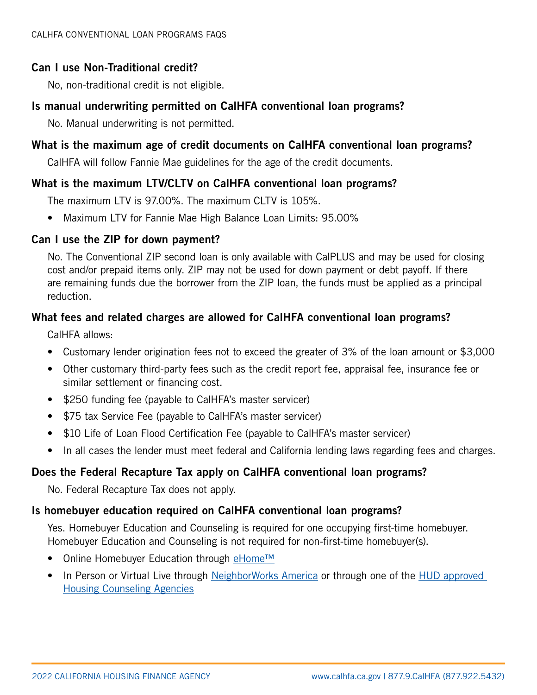# Can I use Non-Traditional credit?

No, non-traditional credit is not eligible.

## Is manual underwriting permitted on CalHFA conventional loan programs?

No. Manual underwriting is not permitted.

# What is the maximum age of credit documents on CalHFA conventional loan programs?

CalHFA will follow Fannie Mae guidelines for the age of the credit documents.

# What is the maximum LTV/CLTV on CalHFA conventional loan programs?

The maximum LTV is 97.00%. The maximum CLTV is 105%.

• Maximum LTV for Fannie Mae High Balance Loan Limits: 95.00%

## Can I use the ZIP for down payment?

No. The Conventional ZIP second loan is only available with CalPLUS and may be used for closing cost and/or prepaid items only. ZIP may not be used for down payment or debt payoff. If there are remaining funds due the borrower from the ZIP loan, the funds must be applied as a principal reduction.

# What fees and related charges are allowed for CalHFA conventional loan programs?

CalHFA allows:

- Customary lender origination fees not to exceed the greater of 3% of the loan amount or \$3,000
- Other customary third-party fees such as the credit report fee, appraisal fee, insurance fee or similar settlement or financing cost.
- \$250 funding fee (payable to CalHFA's master servicer)
- \$75 tax Service Fee (payable to CalHFA's master servicer)
- \$10 Life of Loan Flood Certification Fee (payable to CalHFA's master servicer)
- In all cases the lender must meet federal and California lending laws regarding fees and charges.

# Does the Federal Recapture Tax apply on CalHFA conventional loan programs?

No. Federal Recapture Tax does not apply.

# Is homebuyer education required on CalHFA conventional loan programs?

Yes. Homebuyer Education and Counseling is required for one occupying first-time homebuyer. Homebuyer Education and Counseling is not required for non-first-time homebuyer(s).

- Online Homebuyer Education through [eHome™](https://calhfa.ehomeamerica.org/sponsor_user/sponsor_main)
- In Person or Virtual Live through [NeighborWorks America](http://www.neighborworks.org/Homes-Finances/Homeownership) or through one of the [HUD approved](http://hud.gov/offices/hsg/sfh/hcc/hcs.cfm?weblistaction=summary)  [Housing Counseling Agencies](http://hud.gov/offices/hsg/sfh/hcc/hcs.cfm?weblistaction=summary)